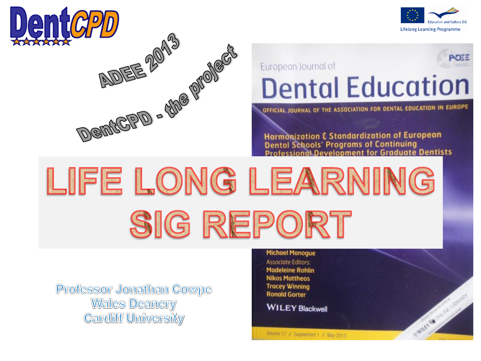



WILEY BOON INC. LISTEREY

## ・いま European Journal of **Dental Education**

OFFICIAL JOURNAL OF THE ASSOCIATION FOR DENTAL EDUCATION IN EUROPE

Harmonization & Standardization of European<br>Dental Schools' Programs of Continuing<br>Professional Development for Graduate Dentists

LIFE LONG LEARNING SIG REPORT

**Professor Jonathan Cowpe Walles Deanery Cardliff University** 

#### **Michael Manogue**

**Associate Editors: Madeleine Rohlin Nikos Mattheos Tracey Winning Ronald Gorter** 

**WILEY Blackwell** 

Volume 17 // Supplement 1 // May 2013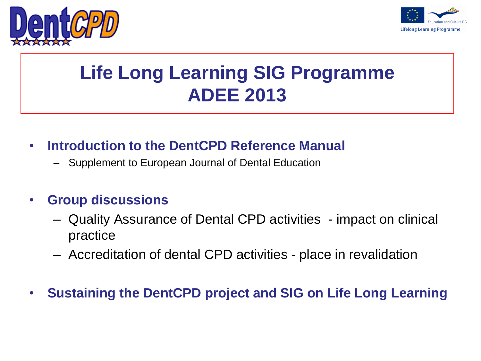



## **Life Long Learning SIG Programme ADEE 2013**

- **Introduction to the DentCPD Reference Manual**
	- Supplement to European Journal of Dental Education
- **Group discussions**
	- Quality Assurance of Dental CPD activities impact on clinical practice
	- Accreditation of dental CPD activities place in revalidation
- **Sustaining the DentCPD project and SIG on Life Long Learning**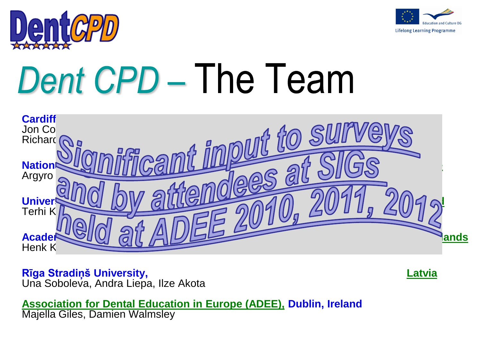



# Dent CPD – The Team



#### **Rīga Stradiņš University, Latvia** Una Soboleva, Andra Liepa, Ilze Akota

**Association for Dental Education in Europe (ADEE), Dublin, Ireland** Majella Giles, Damien Walmsley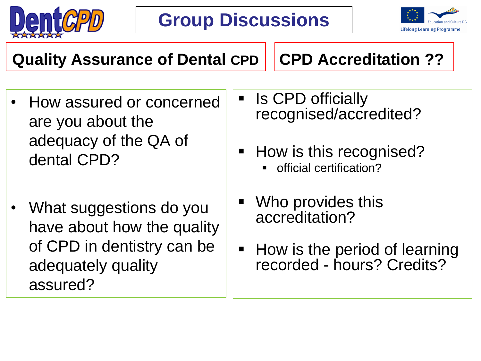



**Quality Assurance of Dental CPD**

**CPD Accreditation ??**

- How assured or concerned are you about the adequacy of the QA of dental CPD?
- What suggestions do you have about how the quality of CPD in dentistry can be adequately quality assured?
- Is CPD officially recognised/accredited?
- How is this recognised?
	- official certification?
- Who provides this accreditation?
- **How is the period of learning** recorded - hours? Credits?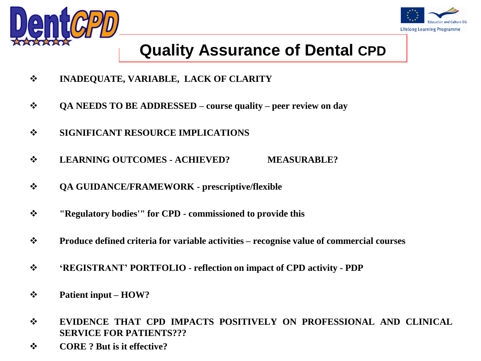



## **Quality Assurance of Dental CPD**

- **INADEQUATE, VARIABLE, LACK OF CLARITY**
- **QA NEEDS TO BE ADDRESSED – course quality – peer review on day**
- **SIGNIFICANT RESOURCE IMPLICATIONS**
- **LEARNING OUTCOMES - ACHIEVED? MEASURABLE?**
- **QA GUIDANCE/FRAMEWORK - prescriptive/flexible**
- **"Regulatory bodies'" for CPD - commissioned to provide this**
- **Produce defined criteria for variable activities – recognise value of commercial courses**
- **'REGISTRANT' PORTFOLIO - reflection on impact of CPD activity - PDP**
- **Patient input – HOW?**
- **EVIDENCE THAT CPD IMPACTS POSITIVELY ON PROFESSIONAL AND CLINICAL SERVICE FOR PATIENTS???**
- **CORE ? But is it effective?**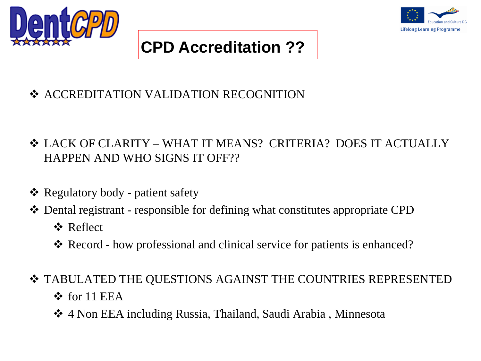



## **CPD Accreditation ??**

- ❖ ACCREDITATION VALIDATION RECOGNITION
- LACK OF CLARITY WHAT IT MEANS? CRITERIA? DOES IT ACTUALLY HAPPEN AND WHO SIGNS IT OFF??
- Regulatory body patient safety
- Dental registrant responsible for defining what constitutes appropriate CPD
	- **☆** Reflect
	- Record how professional and clinical service for patients is enhanced?
- TABULATED THE QUESTIONS AGAINST THE COUNTRIES REPRESENTED
	- $\triangle$  for 11 EEA
	- 4 Non EEA including Russia, Thailand, Saudi Arabia , Minnesota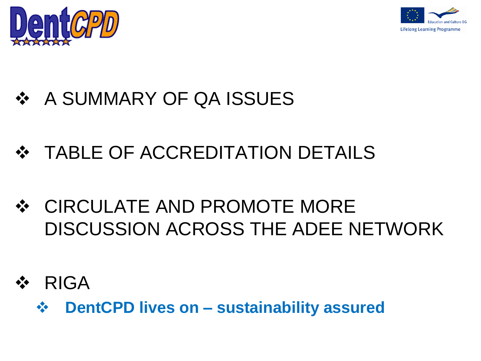



# ❖ A SUMMARY OF QA ISSUES

- **❖ TABLE OF ACCREDITATION DETAILS**
- CIRCULATE AND PROMOTE MORE DISCUSSION ACROSS THE ADEE NETWORK
- RIGA
	- **DentCPD lives on – sustainability assured**